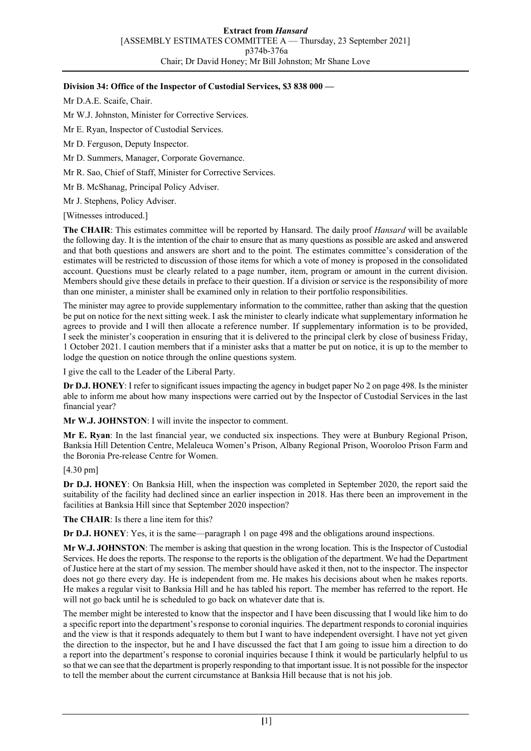## **Division 34: Office of the Inspector of Custodial Services, \$3 838 000 —**

Mr D.A.E. Scaife, Chair.

Mr W.J. Johnston, Minister for Corrective Services.

Mr E. Ryan, Inspector of Custodial Services.

Mr D. Ferguson, Deputy Inspector.

Mr D. Summers, Manager, Corporate Governance.

Mr R. Sao, Chief of Staff, Minister for Corrective Services.

Mr B. McShanag, Principal Policy Adviser.

Mr J. Stephens, Policy Adviser.

[Witnesses introduced.]

**The CHAIR**: This estimates committee will be reported by Hansard. The daily proof *Hansard* will be available the following day. It is the intention of the chair to ensure that as many questions as possible are asked and answered and that both questions and answers are short and to the point. The estimates committee's consideration of the estimates will be restricted to discussion of those items for which a vote of money is proposed in the consolidated account. Questions must be clearly related to a page number, item, program or amount in the current division. Members should give these details in preface to their question. If a division or service is the responsibility of more than one minister, a minister shall be examined only in relation to their portfolio responsibilities.

The minister may agree to provide supplementary information to the committee, rather than asking that the question be put on notice for the next sitting week. I ask the minister to clearly indicate what supplementary information he agrees to provide and I will then allocate a reference number. If supplementary information is to be provided, I seek the minister's cooperation in ensuring that it is delivered to the principal clerk by close of business Friday, 1 October 2021. I caution members that if a minister asks that a matter be put on notice, it is up to the member to lodge the question on notice through the online questions system.

I give the call to the Leader of the Liberal Party.

**Dr D.J. HONEY**: I refer to significant issues impacting the agency in budget paper No 2 on page 498. Is the minister able to inform me about how many inspections were carried out by the Inspector of Custodial Services in the last financial year?

**Mr W.J. JOHNSTON**: I will invite the inspector to comment.

**Mr E. Ryan**: In the last financial year, we conducted six inspections. They were at Bunbury Regional Prison, Banksia Hill Detention Centre, Melaleuca Women's Prison, Albany Regional Prison, Wooroloo Prison Farm and the Boronia Pre-release Centre for Women.

[4.30 pm]

**Dr D.J. HONEY**: On Banksia Hill, when the inspection was completed in September 2020, the report said the suitability of the facility had declined since an earlier inspection in 2018. Has there been an improvement in the facilities at Banksia Hill since that September 2020 inspection?

**The CHAIR**: Is there a line item for this?

**Dr D.J. HONEY:** Yes, it is the same—paragraph 1 on page 498 and the obligations around inspections.

**Mr W.J. JOHNSTON**: The member is asking that question in the wrong location. This is the Inspector of Custodial Services. He does the reports. The response to the reports is the obligation of the department. We had the Department of Justice here at the start of my session. The member should have asked it then, not to the inspector. The inspector does not go there every day. He is independent from me. He makes his decisions about when he makes reports. He makes a regular visit to Banksia Hill and he has tabled his report. The member has referred to the report. He will not go back until he is scheduled to go back on whatever date that is.

The member might be interested to know that the inspector and I have been discussing that I would like him to do a specific report into the department's response to coronial inquiries. The department responds to coronial inquiries and the view is that it responds adequately to them but I want to have independent oversight. I have not yet given the direction to the inspector, but he and I have discussed the fact that I am going to issue him a direction to do a report into the department's response to coronial inquiries because I think it would be particularly helpful to us so that we can see that the department is properly responding to that important issue. It is not possible for the inspector to tell the member about the current circumstance at Banksia Hill because that is not his job.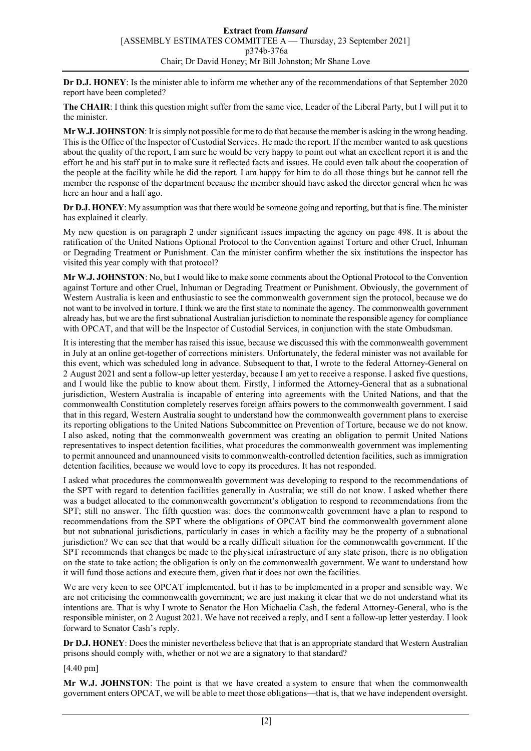**Dr D.J. HONEY**: Is the minister able to inform me whether any of the recommendations of that September 2020 report have been completed?

**The CHAIR**: I think this question might suffer from the same vice, Leader of the Liberal Party, but I will put it to the minister.

**Mr W.J. JOHNSTON**: It is simply not possible for me to do that because the member is asking in the wrong heading. This is the Office of the Inspector of Custodial Services. He made the report. If the member wanted to ask questions about the quality of the report, I am sure he would be very happy to point out what an excellent report it is and the effort he and his staff put in to make sure it reflected facts and issues. He could even talk about the cooperation of the people at the facility while he did the report. I am happy for him to do all those things but he cannot tell the member the response of the department because the member should have asked the director general when he was here an hour and a half ago.

**Dr D.J. HONEY**: My assumption was that there would be someone going and reporting, but that is fine. The minister has explained it clearly.

My new question is on paragraph 2 under significant issues impacting the agency on page 498. It is about the ratification of the United Nations Optional Protocol to the Convention against Torture and other Cruel, Inhuman or Degrading Treatment or Punishment. Can the minister confirm whether the six institutions the inspector has visited this year comply with that protocol?

**Mr W.J. JOHNSTON**: No, but I would like to make some comments about the Optional Protocol to the Convention against Torture and other Cruel, Inhuman or Degrading Treatment or Punishment. Obviously, the government of Western Australia is keen and enthusiastic to see the commonwealth government sign the protocol, because we do not want to be involved in torture. I think we are the first state to nominate the agency. The commonwealth government already has, but we are the first subnational Australian jurisdiction to nominate the responsible agency for compliance with OPCAT, and that will be the Inspector of Custodial Services, in conjunction with the state Ombudsman.

It is interesting that the member has raised this issue, because we discussed this with the commonwealth government in July at an online get-together of corrections ministers. Unfortunately, the federal minister was not available for this event, which was scheduled long in advance. Subsequent to that, I wrote to the federal Attorney-General on 2 August 2021 and sent a follow-up letter yesterday, because I am yet to receive a response. I asked five questions, and I would like the public to know about them. Firstly, I informed the Attorney-General that as a subnational jurisdiction, Western Australia is incapable of entering into agreements with the United Nations, and that the commonwealth Constitution completely reserves foreign affairs powers to the commonwealth government. I said that in this regard, Western Australia sought to understand how the commonwealth government plans to exercise its reporting obligations to the United Nations Subcommittee on Prevention of Torture, because we do not know. I also asked, noting that the commonwealth government was creating an obligation to permit United Nations representatives to inspect detention facilities, what procedures the commonwealth government was implementing to permit announced and unannounced visits to commonwealth-controlled detention facilities, such as immigration detention facilities, because we would love to copy its procedures. It has not responded.

I asked what procedures the commonwealth government was developing to respond to the recommendations of the SPT with regard to detention facilities generally in Australia; we still do not know. I asked whether there was a budget allocated to the commonwealth government's obligation to respond to recommendations from the SPT; still no answer. The fifth question was: does the commonwealth government have a plan to respond to recommendations from the SPT where the obligations of OPCAT bind the commonwealth government alone but not subnational jurisdictions, particularly in cases in which a facility may be the property of a subnational jurisdiction? We can see that that would be a really difficult situation for the commonwealth government. If the SPT recommends that changes be made to the physical infrastructure of any state prison, there is no obligation on the state to take action; the obligation is only on the commonwealth government. We want to understand how it will fund those actions and execute them, given that it does not own the facilities.

We are very keen to see OPCAT implemented, but it has to be implemented in a proper and sensible way. We are not criticising the commonwealth government; we are just making it clear that we do not understand what its intentions are. That is why I wrote to Senator the Hon Michaelia Cash, the federal Attorney-General, who is the responsible minister, on 2 August 2021. We have not received a reply, and I sent a follow-up letter yesterday. I look forward to Senator Cash's reply.

**Dr D.J. HONEY**: Does the minister nevertheless believe that that is an appropriate standard that Western Australian prisons should comply with, whether or not we are a signatory to that standard?

[4.40 pm]

**Mr W.J. JOHNSTON**: The point is that we have created a system to ensure that when the commonwealth government enters OPCAT, we will be able to meet those obligations—that is, that we have independent oversight.